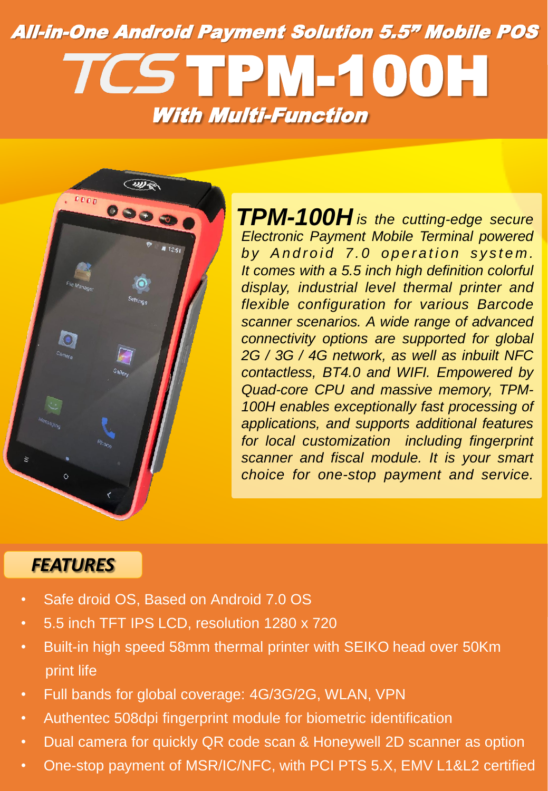## All-in-One Android Payment Solution 5.5" Mobile POS TCSTPM-100H With Multi-Function



*is the cutting-edge secure TPM-100H Electronic Payment Mobile Terminal powered by* Android 7.0 operation system. *It comes with a 5.5 inch high definition colorful display, industrial level thermal printer and flexible configuration for various Barcode scanner scenarios. A wide range of advanced connectivity options are supported for global 2G / 3G / 4G network, as well as inbuilt NFC contactless, BT4.0 and WIFI. Empowered by Quad-core CPU and massive memory, TPM-100H enables exceptionally fast processing of applications, and supports additional features for local customization including fingerprint scanner and fiscal module. It is your smart choice for one-stop payment and service.*

## *FEATURES*

- Safe droid OS, Based on Android 7.0 OS
- 5.5 inch TFT IPS LCD, resolution 1280 x 720
- Built-in high speed 58mm thermal printer with SEIKO head over 50Km print life
- Full bands for global coverage: 4G/3G/2G, WLAN, VPN
- Authentec 508dpi fingerprint module for biometric identification
- Dual camera for quickly QR code scan & Honeywell 2D scanner as option
- One-stop payment of MSR/IC/NFC, with PCI PTS 5.X, EMV L1&L2 certified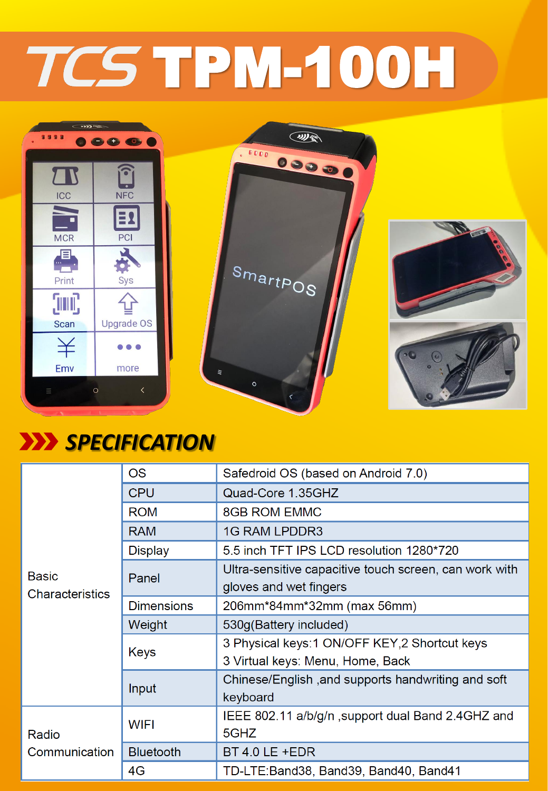## TCS TPM-100H



## *SPECIFICATION*

| <b>Basic</b><br><b>Characteristics</b> | <b>OS</b>         | Safedroid OS (based on Android 7.0)                    |
|----------------------------------------|-------------------|--------------------------------------------------------|
|                                        | <b>CPU</b>        | Quad-Core 1.35GHZ                                      |
|                                        | <b>ROM</b>        | <b>8GB ROM EMMC</b>                                    |
|                                        | <b>RAM</b>        | <b>1G RAM LPDDR3</b>                                   |
|                                        | <b>Display</b>    | 5.5 inch TFT IPS LCD resolution 1280*720               |
|                                        | Panel             | Ultra-sensitive capacitive touch screen, can work with |
|                                        |                   | gloves and wet fingers                                 |
|                                        | <b>Dimensions</b> | 206mm*84mm*32mm (max 56mm)                             |
|                                        | Weight            | 530g(Battery included)                                 |
|                                        | Keys              | 3 Physical keys: 1 ON/OFF KEY, 2 Shortcut keys         |
|                                        |                   | 3 Virtual keys: Menu, Home, Back                       |
|                                        | Input             | Chinese/English, and supports handwriting and soft     |
|                                        |                   | keyboard                                               |
| Radio<br>Communication                 | <b>WIFI</b>       | IEEE 802.11 a/b/g/n, support dual Band 2.4GHZ and      |
|                                        |                   | 5GHZ                                                   |
|                                        | <b>Bluetooth</b>  | BT 4.0 LE +EDR                                         |
|                                        | 4G                | TD-LTE:Band38, Band39, Band40, Band41                  |